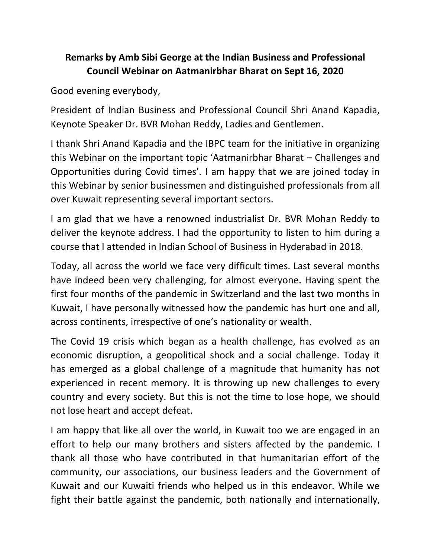## **Remarks by Amb Sibi George at the Indian Business and Professional Council Webinar on Aatmanirbhar Bharat on Sept 16, 2020**

Good evening everybody,

President of Indian Business and Professional Council Shri Anand Kapadia, Keynote Speaker Dr. BVR Mohan Reddy, Ladies and Gentlemen.

I thank Shri Anand Kapadia and the IBPC team for the initiative in organizing this Webinar on the important topic 'Aatmanirbhar Bharat – Challenges and Opportunities during Covid times'. I am happy that we are joined today in this Webinar by senior businessmen and distinguished professionals from all over Kuwait representing several important sectors.

I am glad that we have a renowned industrialist Dr. BVR Mohan Reddy to deliver the keynote address. I had the opportunity to listen to him during a course that I attended in Indian School of Business in Hyderabad in 2018.

Today, all across the world we face very difficult times. Last several months have indeed been very challenging, for almost everyone. Having spent the first four months of the pandemic in Switzerland and the last two months in Kuwait, I have personally witnessed how the pandemic has hurt one and all, across continents, irrespective of one's nationality or wealth.

The Covid 19 crisis which began as a health challenge, has evolved as an economic disruption, a geopolitical shock and a social challenge. Today it has emerged as a global challenge of a magnitude that humanity has not experienced in recent memory. It is throwing up new challenges to every country and every society. But this is not the time to lose hope, we should not lose heart and accept defeat.

I am happy that like all over the world, in Kuwait too we are engaged in an effort to help our many brothers and sisters affected by the pandemic. I thank all those who have contributed in that humanitarian effort of the community, our associations, our business leaders and the Government of Kuwait and our Kuwaiti friends who helped us in this endeavor. While we fight their battle against the pandemic, both nationally and internationally,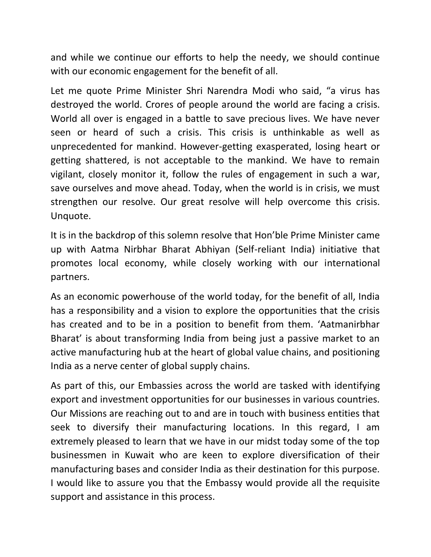and while we continue our efforts to help the needy, we should continue with our economic engagement for the benefit of all.

Let me quote Prime Minister Shri Narendra Modi who said, "a virus has destroyed the world. Crores of people around the world are facing a crisis. World all over is engaged in a battle to save precious lives. We have never seen or heard of such a crisis. This crisis is unthinkable as well as unprecedented for mankind. However-getting exasperated, losing heart or getting shattered, is not acceptable to the mankind. We have to remain vigilant, closely monitor it, follow the rules of engagement in such a war, save ourselves and move ahead. Today, when the world is in crisis, we must strengthen our resolve. Our great resolve will help overcome this crisis. Unquote.

It is in the backdrop of this solemn resolve that Hon'ble Prime Minister came up with Aatma Nirbhar Bharat Abhiyan (Self-reliant India) initiative that promotes local economy, while closely working with our international partners.

As an economic powerhouse of the world today, for the benefit of all, India has a responsibility and a vision to explore the opportunities that the crisis has created and to be in a position to benefit from them. 'Aatmanirbhar Bharat' is about transforming India from being just a passive market to an active manufacturing hub at the heart of global value chains, and positioning India as a nerve center of global supply chains.

As part of this, our Embassies across the world are tasked with identifying export and investment opportunities for our businesses in various countries. Our Missions are reaching out to and are in touch with business entities that seek to diversify their manufacturing locations. In this regard, I am extremely pleased to learn that we have in our midst today some of the top businessmen in Kuwait who are keen to explore diversification of their manufacturing bases and consider India as their destination for this purpose. I would like to assure you that the Embassy would provide all the requisite support and assistance in this process.